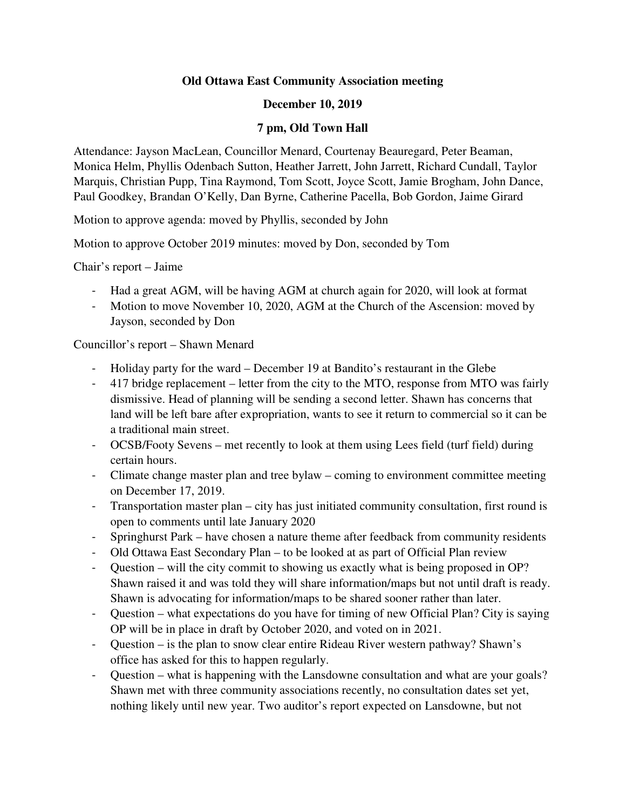### **Old Ottawa East Community Association meeting**

#### **December 10, 2019**

#### **7 pm, Old Town Hall**

Attendance: Jayson MacLean, Councillor Menard, Courtenay Beauregard, Peter Beaman, Monica Helm, Phyllis Odenbach Sutton, Heather Jarrett, John Jarrett, Richard Cundall, Taylor Marquis, Christian Pupp, Tina Raymond, Tom Scott, Joyce Scott, Jamie Brogham, John Dance, Paul Goodkey, Brandan O'Kelly, Dan Byrne, Catherine Pacella, Bob Gordon, Jaime Girard

Motion to approve agenda: moved by Phyllis, seconded by John

Motion to approve October 2019 minutes: moved by Don, seconded by Tom

Chair's report – Jaime

- Had a great AGM, will be having AGM at church again for 2020, will look at format
- Motion to move November 10, 2020, AGM at the Church of the Ascension: moved by Jayson, seconded by Don

Councillor's report – Shawn Menard

- Holiday party for the ward December 19 at Bandito's restaurant in the Glebe
- 417 bridge replacement letter from the city to the MTO, response from MTO was fairly dismissive. Head of planning will be sending a second letter. Shawn has concerns that land will be left bare after expropriation, wants to see it return to commercial so it can be a traditional main street.
- OCSB/Footy Sevens met recently to look at them using Lees field (turf field) during certain hours.
- Climate change master plan and tree bylaw coming to environment committee meeting on December 17, 2019.
- Transportation master plan city has just initiated community consultation, first round is open to comments until late January 2020
- Springhurst Park have chosen a nature theme after feedback from community residents
- Old Ottawa East Secondary Plan to be looked at as part of Official Plan review
- Question will the city commit to showing us exactly what is being proposed in OP? Shawn raised it and was told they will share information/maps but not until draft is ready. Shawn is advocating for information/maps to be shared sooner rather than later.
- Question what expectations do you have for timing of new Official Plan? City is saying OP will be in place in draft by October 2020, and voted on in 2021.
- Question is the plan to snow clear entire Rideau River western pathway? Shawn's office has asked for this to happen regularly.
- Question what is happening with the Lansdowne consultation and what are your goals? Shawn met with three community associations recently, no consultation dates set yet, nothing likely until new year. Two auditor's report expected on Lansdowne, but not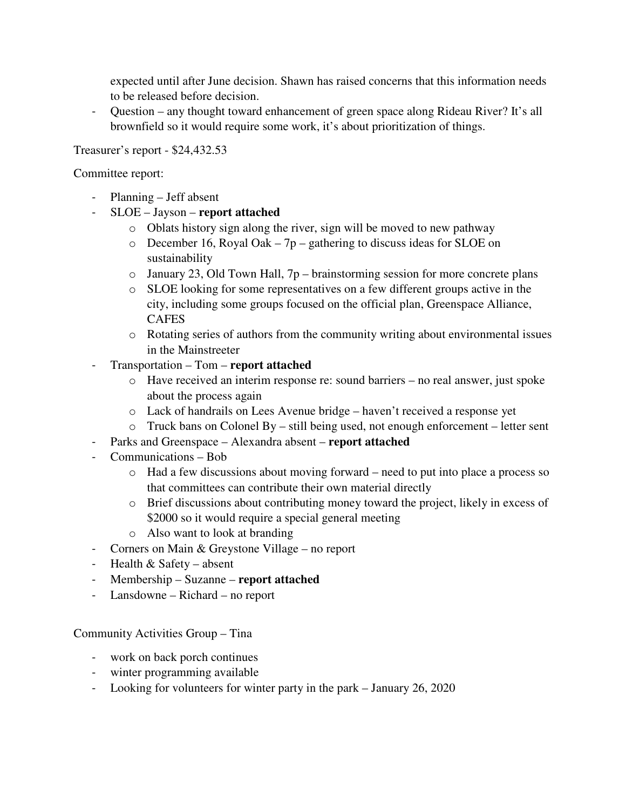expected until after June decision. Shawn has raised concerns that this information needs to be released before decision.

- Question – any thought toward enhancement of green space along Rideau River? It's all brownfield so it would require some work, it's about prioritization of things.

#### Treasurer's report - \$24,432.53

#### Committee report:

- Planning Jeff absent
- SLOE Jayson **report attached**
	- o Oblats history sign along the river, sign will be moved to new pathway
	- $\circ$  December 16, Royal Oak 7p gathering to discuss ideas for SLOE on sustainability
	- o January 23, Old Town Hall, 7p brainstorming session for more concrete plans
	- o SLOE looking for some representatives on a few different groups active in the city, including some groups focused on the official plan, Greenspace Alliance, CAFES
	- o Rotating series of authors from the community writing about environmental issues in the Mainstreeter
- Transportation Tom **report attached**
	- o Have received an interim response re: sound barriers no real answer, just spoke about the process again
	- o Lack of handrails on Lees Avenue bridge haven't received a response yet
	- o Truck bans on Colonel By still being used, not enough enforcement letter sent
- Parks and Greenspace Alexandra absent **report attached**
- Communications Bob
	- o Had a few discussions about moving forward need to put into place a process so that committees can contribute their own material directly
	- o Brief discussions about contributing money toward the project, likely in excess of \$2000 so it would require a special general meeting
	- o Also want to look at branding
- Corners on Main & Greystone Village no report
- Health & Safety absent
- Membership Suzanne **report attached**
- Lansdowne Richard no report

Community Activities Group – Tina

- work on back porch continues
- winter programming available
- Looking for volunteers for winter party in the park January 26, 2020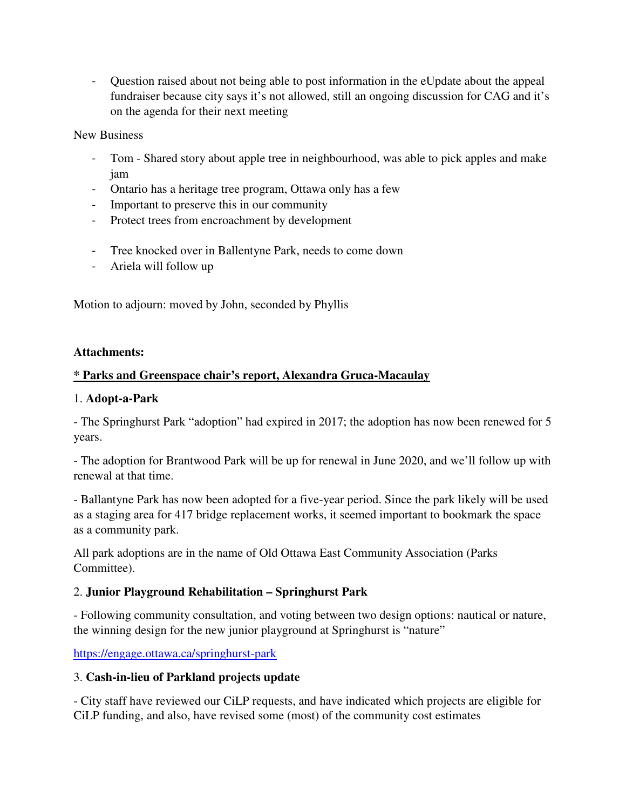- Question raised about not being able to post information in the eUpdate about the appeal fundraiser because city says it's not allowed, still an ongoing discussion for CAG and it's on the agenda for their next meeting

New Business

- Tom Shared story about apple tree in neighbourhood, was able to pick apples and make jam
- Ontario has a heritage tree program, Ottawa only has a few
- Important to preserve this in our community
- Protect trees from encroachment by development
- Tree knocked over in Ballentyne Park, needs to come down
- Ariela will follow up

Motion to adjourn: moved by John, seconded by Phyllis

#### **Attachments:**

# **\* Parks and Greenspace chair's report, Alexandra Gruca-Macaulay**

#### 1. **Adopt-a-Park**

- The Springhurst Park "adoption" had expired in 2017; the adoption has now been renewed for 5 years.

- The adoption for Brantwood Park will be up for renewal in June 2020, and we'll follow up with renewal at that time.

- Ballantyne Park has now been adopted for a five-year period. Since the park likely will be used as a staging area for 417 bridge replacement works, it seemed important to bookmark the space as a community park.

All park adoptions are in the name of Old Ottawa East Community Association (Parks Committee).

# 2. **Junior Playground Rehabilitation – Springhurst Park**

- Following community consultation, and voting between two design options: nautical or nature, the winning design for the new junior playground at Springhurst is "nature"

https://engage.ottawa.ca/springhurst-park

# 3. **Cash-in-lieu of Parkland projects update**

- City staff have reviewed our CiLP requests, and have indicated which projects are eligible for CiLP funding, and also, have revised some (most) of the community cost estimates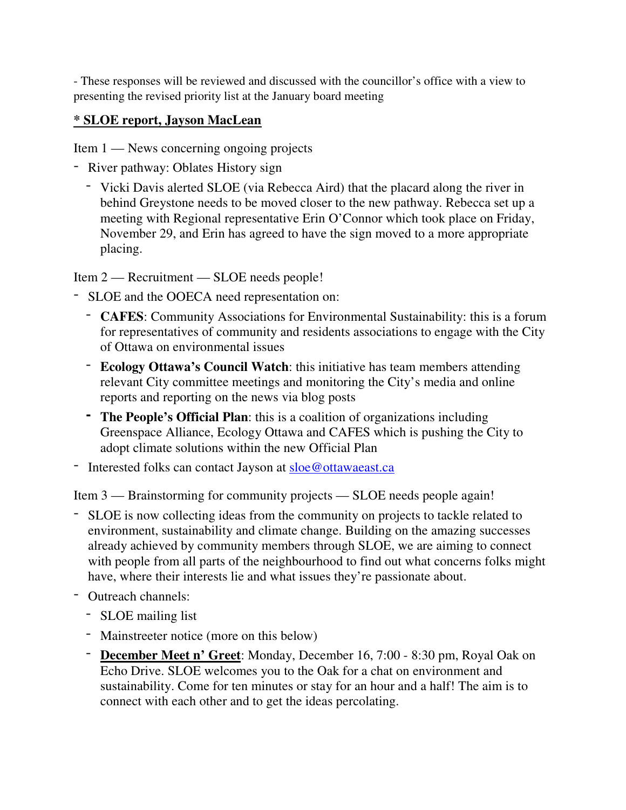- These responses will be reviewed and discussed with the councillor's office with a view to presenting the revised priority list at the January board meeting

# **\* SLOE report, Jayson MacLean**

Item 1 — News concerning ongoing projects

- River pathway: Oblates History sign
	- Vicki Davis alerted SLOE (via Rebecca Aird) that the placard along the river in behind Greystone needs to be moved closer to the new pathway. Rebecca set up a meeting with Regional representative Erin O'Connor which took place on Friday, November 29, and Erin has agreed to have the sign moved to a more appropriate placing.

Item 2 — Recruitment — SLOE needs people!

- SLOE and the OOECA need representation on:
	- **CAFES**: Community Associations for Environmental Sustainability: this is a forum for representatives of community and residents associations to engage with the City of Ottawa on environmental issues
	- **Ecology Ottawa's Council Watch**: this initiative has team members attending relevant City committee meetings and monitoring the City's media and online reports and reporting on the news via blog posts
	- **- The People's Official Plan**: this is a coalition of organizations including Greenspace Alliance, Ecology Ottawa and CAFES which is pushing the City to adopt climate solutions within the new Official Plan
- Interested folks can contact Jayson at sloe@ottawaeast.ca

Item 3 — Brainstorming for community projects — SLOE needs people again!

- SLOE is now collecting ideas from the community on projects to tackle related to environment, sustainability and climate change. Building on the amazing successes already achieved by community members through SLOE, we are aiming to connect with people from all parts of the neighbourhood to find out what concerns folks might have, where their interests lie and what issues they're passionate about.
- Outreach channels:
	- SLOE mailing list
	- Mainstreeter notice (more on this below)
	- **December Meet n' Greet**: Monday, December 16, 7:00 8:30 pm, Royal Oak on Echo Drive. SLOE welcomes you to the Oak for a chat on environment and sustainability. Come for ten minutes or stay for an hour and a half! The aim is to connect with each other and to get the ideas percolating.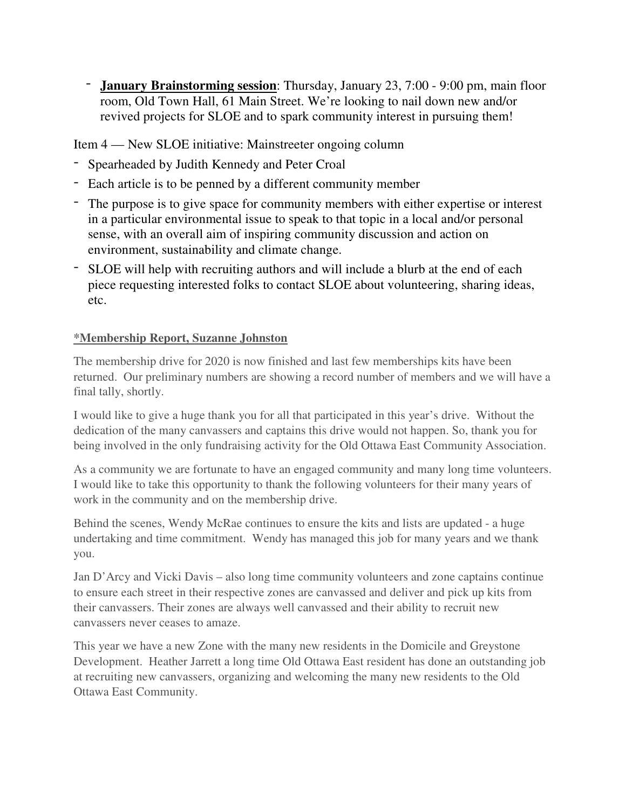- **January Brainstorming session**: Thursday, January 23, 7:00 - 9:00 pm, main floor room, Old Town Hall, 61 Main Street. We're looking to nail down new and/or revived projects for SLOE and to spark community interest in pursuing them!

Item 4 — New SLOE initiative: Mainstreeter ongoing column

- Spearheaded by Judith Kennedy and Peter Croal
- Each article is to be penned by a different community member
- The purpose is to give space for community members with either expertise or interest in a particular environmental issue to speak to that topic in a local and/or personal sense, with an overall aim of inspiring community discussion and action on environment, sustainability and climate change.
- SLOE will help with recruiting authors and will include a blurb at the end of each piece requesting interested folks to contact SLOE about volunteering, sharing ideas, etc.

# **\*Membership Report, Suzanne Johnston**

The membership drive for 2020 is now finished and last few memberships kits have been returned. Our preliminary numbers are showing a record number of members and we will have a final tally, shortly.

I would like to give a huge thank you for all that participated in this year's drive. Without the dedication of the many canvassers and captains this drive would not happen. So, thank you for being involved in the only fundraising activity for the Old Ottawa East Community Association.

As a community we are fortunate to have an engaged community and many long time volunteers. I would like to take this opportunity to thank the following volunteers for their many years of work in the community and on the membership drive.

Behind the scenes, Wendy McRae continues to ensure the kits and lists are updated - a huge undertaking and time commitment. Wendy has managed this job for many years and we thank you.

Jan D'Arcy and Vicki Davis – also long time community volunteers and zone captains continue to ensure each street in their respective zones are canvassed and deliver and pick up kits from their canvassers. Their zones are always well canvassed and their ability to recruit new canvassers never ceases to amaze.

This year we have a new Zone with the many new residents in the Domicile and Greystone Development. Heather Jarrett a long time Old Ottawa East resident has done an outstanding job at recruiting new canvassers, organizing and welcoming the many new residents to the Old Ottawa East Community.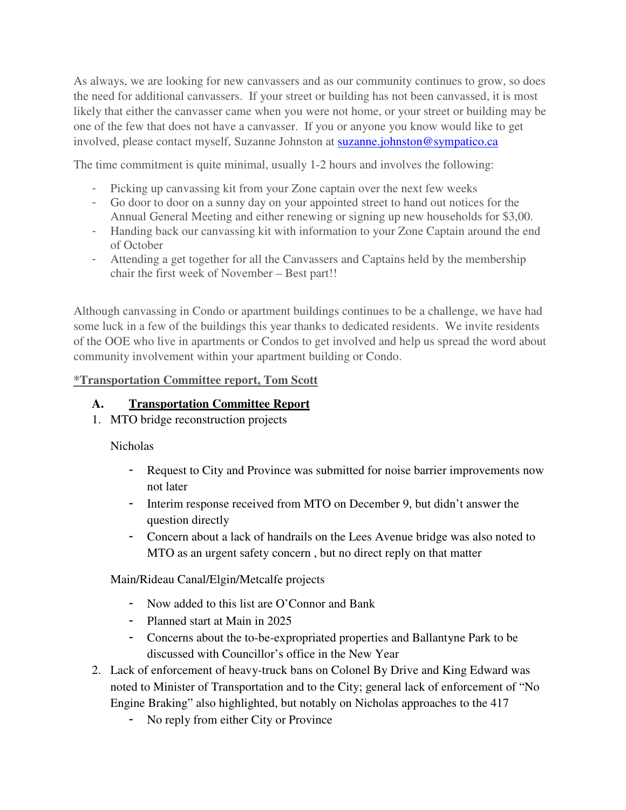As always, we are looking for new canvassers and as our community continues to grow, so does the need for additional canvassers. If your street or building has not been canvassed, it is most likely that either the canvasser came when you were not home, or your street or building may be one of the few that does not have a canvasser. If you or anyone you know would like to get involved, please contact myself, Suzanne Johnston at suzanne.johnston@sympatico.ca

The time commitment is quite minimal, usually 1-2 hours and involves the following:

- Picking up canvassing kit from your Zone captain over the next few weeks
- Go door to door on a sunny day on your appointed street to hand out notices for the Annual General Meeting and either renewing or signing up new households for \$3,00.
- Handing back our canvassing kit with information to your Zone Captain around the end of October
- Attending a get together for all the Canvassers and Captains held by the membership chair the first week of November – Best part!!

Although canvassing in Condo or apartment buildings continues to be a challenge, we have had some luck in a few of the buildings this year thanks to dedicated residents. We invite residents of the OOE who live in apartments or Condos to get involved and help us spread the word about community involvement within your apartment building or Condo.

# **\*Transportation Committee report, Tom Scott**

# **A. Transportation Committee Report**

1. MTO bridge reconstruction projects

Nicholas

- Request to City and Province was submitted for noise barrier improvements now not later
- Interim response received from MTO on December 9, but didn't answer the question directly
- Concern about a lack of handrails on the Lees Avenue bridge was also noted to MTO as an urgent safety concern , but no direct reply on that matter

Main/Rideau Canal/Elgin/Metcalfe projects

- Now added to this list are O'Connor and Bank
- Planned start at Main in 2025
- Concerns about the to-be-expropriated properties and Ballantyne Park to be discussed with Councillor's office in the New Year
- 2. Lack of enforcement of heavy-truck bans on Colonel By Drive and King Edward was noted to Minister of Transportation and to the City; general lack of enforcement of "No Engine Braking" also highlighted, but notably on Nicholas approaches to the 417
	- No reply from either City or Province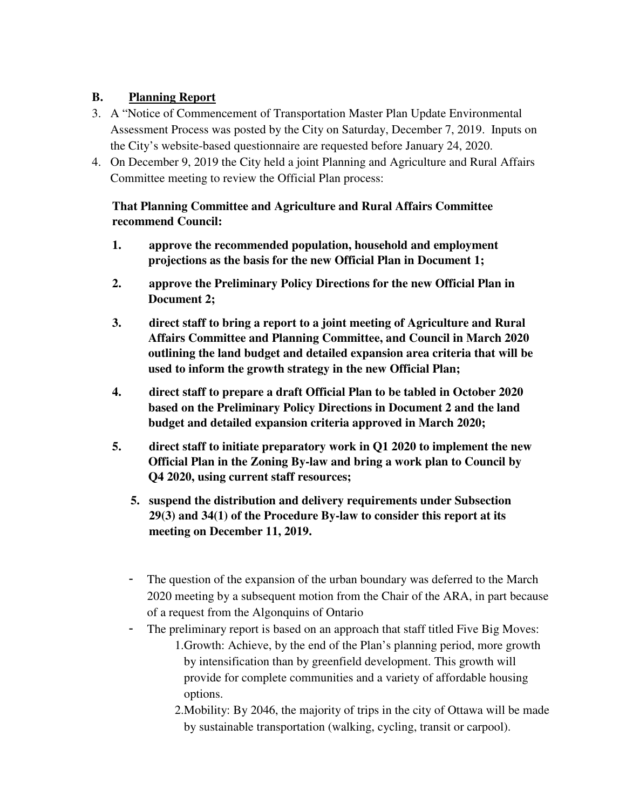# **B. Planning Report**

- 3. A "Notice of Commencement of Transportation Master Plan Update Environmental Assessment Process was posted by the City on Saturday, December 7, 2019. Inputs on the City's website-based questionnaire are requested before January 24, 2020.
- 4. On December 9, 2019 the City held a joint Planning and Agriculture and Rural Affairs Committee meeting to review the Official Plan process:

# **That Planning Committee and Agriculture and Rural Affairs Committee recommend Council:**

- **1. approve the recommended population, household and employment projections as the basis for the new Official Plan in Document 1;**
- **2. approve the Preliminary Policy Directions for the new Official Plan in Document 2;**
- **3. direct staff to bring a report to a joint meeting of Agriculture and Rural Affairs Committee and Planning Committee, and Council in March 2020 outlining the land budget and detailed expansion area criteria that will be used to inform the growth strategy in the new Official Plan;**
- **4. direct staff to prepare a draft Official Plan to be tabled in October 2020 based on the Preliminary Policy Directions in Document 2 and the land budget and detailed expansion criteria approved in March 2020;**
- **5. direct staff to initiate preparatory work in Q1 2020 to implement the new Official Plan in the Zoning By-law and bring a work plan to Council by Q4 2020, using current staff resources;** 
	- **5. suspend the distribution and delivery requirements under Subsection 29(3) and 34(1) of the Procedure By-law to consider this report at its meeting on December 11, 2019.**
	- The question of the expansion of the urban boundary was deferred to the March 2020 meeting by a subsequent motion from the Chair of the ARA, in part because of a request from the Algonquins of Ontario
	- The preliminary report is based on an approach that staff titled Five Big Moves:
		- 1.Growth: Achieve, by the end of the Plan's planning period, more growth by intensification than by greenfield development. This growth will provide for complete communities and a variety of affordable housing options.
		- 2.Mobility: By 2046, the majority of trips in the city of Ottawa will be made by sustainable transportation (walking, cycling, transit or carpool).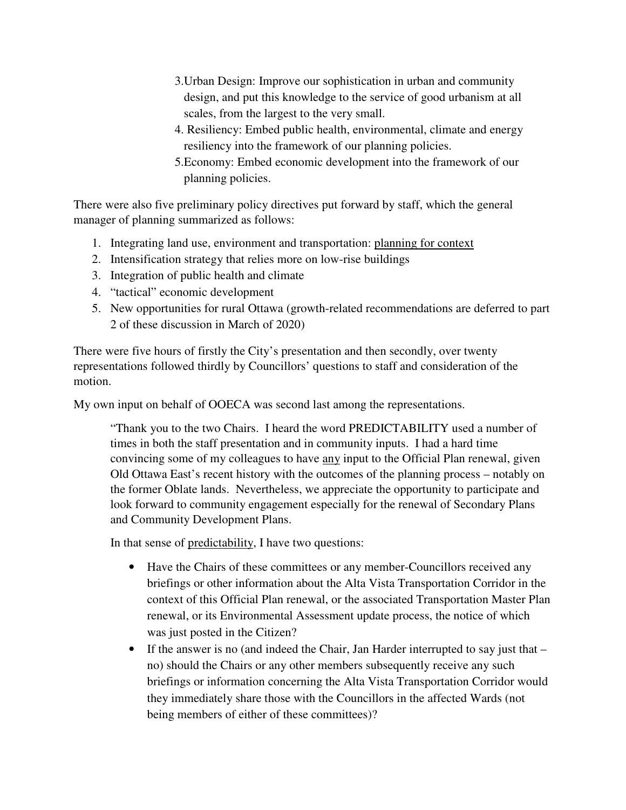- 3.Urban Design: Improve our sophistication in urban and community design, and put this knowledge to the service of good urbanism at all scales, from the largest to the very small.
- 4. Resiliency: Embed public health, environmental, climate and energy resiliency into the framework of our planning policies.
- 5.Economy: Embed economic development into the framework of our planning policies.

There were also five preliminary policy directives put forward by staff, which the general manager of planning summarized as follows:

- 1. Integrating land use, environment and transportation: planning for context
- 2. Intensification strategy that relies more on low-rise buildings
- 3. Integration of public health and climate
- 4. "tactical" economic development
- 5. New opportunities for rural Ottawa (growth-related recommendations are deferred to part 2 of these discussion in March of 2020)

There were five hours of firstly the City's presentation and then secondly, over twenty representations followed thirdly by Councillors' questions to staff and consideration of the motion.

My own input on behalf of OOECA was second last among the representations.

"Thank you to the two Chairs. I heard the word PREDICTABILITY used a number of times in both the staff presentation and in community inputs. I had a hard time convincing some of my colleagues to have any input to the Official Plan renewal, given Old Ottawa East's recent history with the outcomes of the planning process – notably on the former Oblate lands. Nevertheless, we appreciate the opportunity to participate and look forward to community engagement especially for the renewal of Secondary Plans and Community Development Plans.

In that sense of predictability, I have two questions:

- Have the Chairs of these committees or any member-Councillors received any briefings or other information about the Alta Vista Transportation Corridor in the context of this Official Plan renewal, or the associated Transportation Master Plan renewal, or its Environmental Assessment update process, the notice of which was just posted in the Citizen?
- If the answer is no (and indeed the Chair, Jan Harder interrupted to say just that no) should the Chairs or any other members subsequently receive any such briefings or information concerning the Alta Vista Transportation Corridor would they immediately share those with the Councillors in the affected Wards (not being members of either of these committees)?